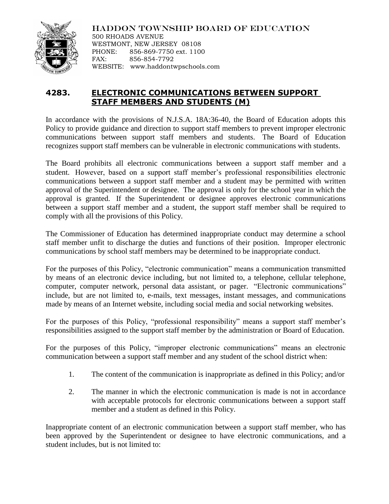

HADDON TOWNSHIP BOARD OF EDUCATION 500 RHOADS AVENUE WESTMONT, NEW JERSEY 08108 PHONE: 856-869-7750 ext. 1100 FAX: 856-854-7792 WEBSITE: www.haddontwpschools.com

## **4283. ELECTRONIC COMMUNICATIONS BETWEEN SUPPORT STAFF MEMBERS AND STUDENTS (M)**

In accordance with the provisions of N.J.S.A. 18A:36-40, the Board of Education adopts this Policy to provide guidance and direction to support staff members to prevent improper electronic communications between support staff members and students. The Board of Education recognizes support staff members can be vulnerable in electronic communications with students.

The Board prohibits all electronic communications between a support staff member and a student. However, based on a support staff member's professional responsibilities electronic communications between a support staff member and a student may be permitted with written approval of the Superintendent or designee. The approval is only for the school year in which the approval is granted. If the Superintendent or designee approves electronic communications between a support staff member and a student, the support staff member shall be required to comply with all the provisions of this Policy.

The Commissioner of Education has determined inappropriate conduct may determine a school staff member unfit to discharge the duties and functions of their position. Improper electronic communications by school staff members may be determined to be inappropriate conduct.

For the purposes of this Policy, "electronic communication" means a communication transmitted by means of an electronic device including, but not limited to, a telephone, cellular telephone, computer, computer network, personal data assistant, or pager. "Electronic communications" include, but are not limited to, e-mails, text messages, instant messages, and communications made by means of an Internet website, including social media and social networking websites.

For the purposes of this Policy, "professional responsibility" means a support staff member's responsibilities assigned to the support staff member by the administration or Board of Education.

For the purposes of this Policy, "improper electronic communications" means an electronic communication between a support staff member and any student of the school district when:

- 1. The content of the communication is inappropriate as defined in this Policy; and/or
- 2. The manner in which the electronic communication is made is not in accordance with acceptable protocols for electronic communications between a support staff member and a student as defined in this Policy.

Inappropriate content of an electronic communication between a support staff member, who has been approved by the Superintendent or designee to have electronic communications, and a student includes, but is not limited to: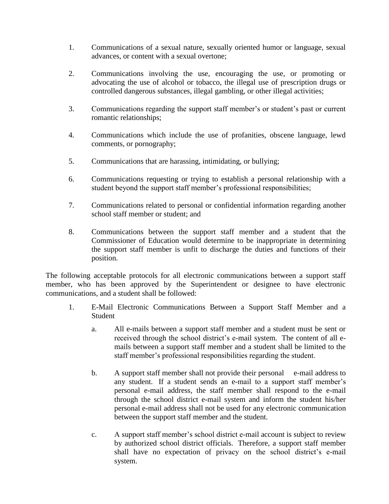- 1. Communications of a sexual nature, sexually oriented humor or language, sexual advances, or content with a sexual overtone;
- 2. Communications involving the use, encouraging the use, or promoting or advocating the use of alcohol or tobacco, the illegal use of prescription drugs or controlled dangerous substances, illegal gambling, or other illegal activities;
- 3. Communications regarding the support staff member's or student's past or current romantic relationships;
- 4. Communications which include the use of profanities, obscene language, lewd comments, or pornography;
- 5. Communications that are harassing, intimidating, or bullying;
- 6. Communications requesting or trying to establish a personal relationship with a student beyond the support staff member's professional responsibilities;
- 7. Communications related to personal or confidential information regarding another school staff member or student; and
- 8. Communications between the support staff member and a student that the Commissioner of Education would determine to be inappropriate in determining the support staff member is unfit to discharge the duties and functions of their position.

The following acceptable protocols for all electronic communications between a support staff member, who has been approved by the Superintendent or designee to have electronic communications, and a student shall be followed:

- 1. E-Mail Electronic Communications Between a Support Staff Member and a Student
	- a. All e-mails between a support staff member and a student must be sent or received through the school district's e-mail system. The content of all emails between a support staff member and a student shall be limited to the staff member's professional responsibilities regarding the student.
	- b. A support staff member shall not provide their personal e-mail address to any student. If a student sends an e-mail to a support staff member's personal e-mail address, the staff member shall respond to the e-mail through the school district e-mail system and inform the student his/her personal e-mail address shall not be used for any electronic communication between the support staff member and the student.
	- c. A support staff member's school district e-mail account is subject to review by authorized school district officials. Therefore, a support staff member shall have no expectation of privacy on the school district's e-mail system.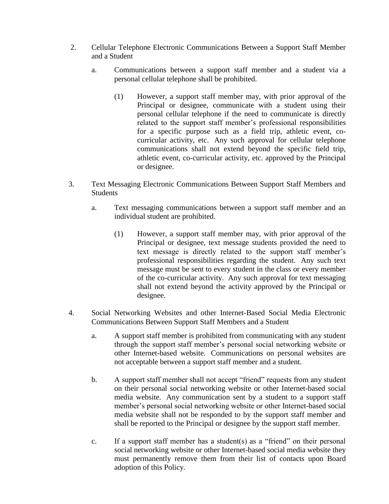- 2. Cellular Telephone Electronic Communications Between a Support Staff Member and a Student
	- a. Communications between a support staff member and a student via a personal cellular telephone shall be prohibited.
		- (1) However, a support staff member may, with prior approval of the Principal or designee, communicate with a student using their personal cellular telephone if the need to communicate is directly related to the support staff member's professional responsibilities for a specific purpose such as a field trip, athletic event, cocurricular activity, etc. Any such approval for cellular telephone communications shall not extend beyond the specific field trip, athletic event, co-curricular activity, etc. approved by the Principal or designee.
- 3. Text Messaging Electronic Communications Between Support Staff Members and Students
	- a. Text messaging communications between a support staff member and an individual student are prohibited.
		- (1) However, a support staff member may, with prior approval of the Principal or designee, text message students provided the need to text message is directly related to the support staff member's professional responsibilities regarding the student. Any such text message must be sent to every student in the class or every member of the co-curricular activity. Any such approval for text messaging shall not extend beyond the activity approved by the Principal or designee.
- 4. Social Networking Websites and other Internet-Based Social Media Electronic Communications Between Support Staff Members and a Student
	- a. A support staff member is prohibited from communicating with any student through the support staff member's personal social networking website or other Internet-based website. Communications on personal websites are not acceptable between a support staff member and a student.
	- b. A support staff member shall not accept "friend" requests from any student on their personal social networking website or other Internet-based social media website. Any communication sent by a student to a support staff member's personal social networking website or other Internet-based social media website shall not be responded to by the support staff member and shall be reported to the Principal or designee by the support staff member.
	- c. If a support staff member has a student(s) as a "friend" on their personal social networking website or other Internet-based social media website they must permanently remove them from their list of contacts upon Board adoption of this Policy.